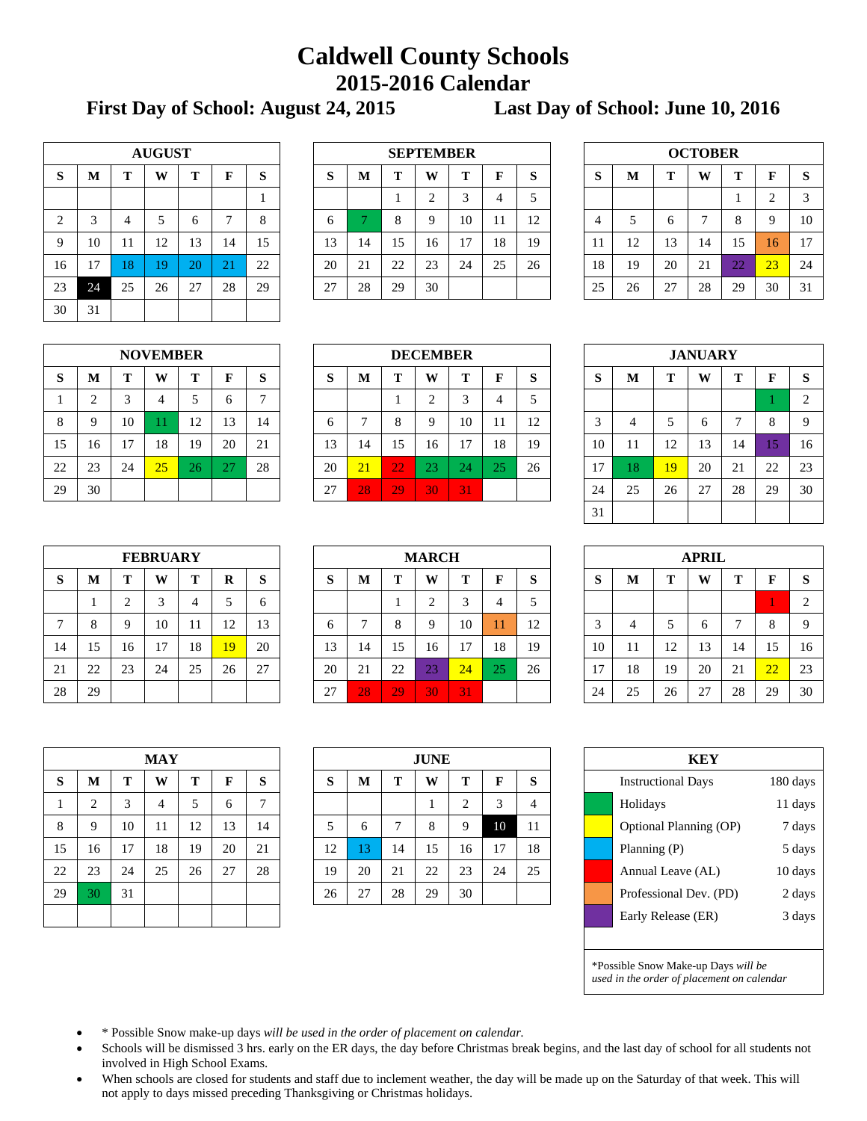## **Caldwell County Schools 2015-2016 Calendar**

**First Day of School: August 24, 2015 Last Day of School: June 10, 2016**

| <b>AUGUST</b>  |    |    |    |    |    |    |  |  |  |  |  |  |
|----------------|----|----|----|----|----|----|--|--|--|--|--|--|
| S              | M  | T  | W  | T  | F  | S  |  |  |  |  |  |  |
|                |    |    |    |    |    | 1  |  |  |  |  |  |  |
| $\overline{2}$ | 3  | 4  | 5  | 6  | 7  | 8  |  |  |  |  |  |  |
| 9              | 10 | 11 | 12 | 13 | 14 | 15 |  |  |  |  |  |  |
| 16             | 17 | 18 | 19 | 20 | 21 | 22 |  |  |  |  |  |  |
| 23             | 24 | 25 | 26 | 27 | 28 | 29 |  |  |  |  |  |  |
| 30             | 31 |    |    |    |    |    |  |  |  |  |  |  |

|    |    |    | <b>AUGUST</b> |                           |           |    |             | <b>SEPTEMBER</b>            |    |    |        |    |    |    |    |    | <b>OCTOBER</b> |              |    |    |          |
|----|----|----|---------------|---------------------------|-----------|----|-------------|-----------------------------|----|----|--------|----|----|----|----|----|----------------|--------------|----|----|----------|
| S  | M  | m  | W             |                           | F         | S  | $\sim$<br>D | Т<br>m<br>W<br>M<br>ю<br>D. |    |    |        |    |    |    | D  | М  | m              | W            | m  |    | <b>S</b> |
|    |    |    |               |                           |           |    |             |                             |    |    | $\sim$ | 4  |    |    |    |    |                |              |    |    | 3        |
| 2  |    |    |               |                           |           | 8  | O           |                             |    | Q  | 10     | -1 | 12 |    | 4  |    |                | $\mathbf{r}$ | 8  |    | 10       |
| 9  | 10 | 11 | 12            | 13                        | 14        | 15 | 13          | 14                          | 15 | 16 | 17     | 18 | 19 |    | 11 | 12 | 13             | 14           | 15 | 16 | 17       |
| 16 |    | 18 | 19            | 20                        | ∩ 1<br>Ζ. | 22 | 20          | 21                          | 22 | 23 | 24     | 25 | 26 |    | 18 | 19 | 20             | 21           | 22 | 23 | 24       |
| 23 | 24 | 25 | 26            | $\sim$<br>$\mathcal{L}$ . | 28        | 29 | 27          | 28<br>30<br>29              |    |    |        |    |    | 25 | 26 | 27 | 28             | 29           | 30 | 31 |          |
|    |    |    |               |                           |           |    |             |                             |    |    |        |    |    |    |    |    |                |              |    |    |          |

| <b>OCTOBER</b> |    |    |    |    |                |    |  |  |  |  |  |
|----------------|----|----|----|----|----------------|----|--|--|--|--|--|
| S              | M  | T  | W  | T  | F              | S  |  |  |  |  |  |
|                |    |    |    |    | $\overline{2}$ | 3  |  |  |  |  |  |
| $\overline{4}$ | 5  | 6  | 7  | 8  | 9              | 10 |  |  |  |  |  |
| 11             | 12 | 13 | 14 | 15 | 16             | 17 |  |  |  |  |  |
| 18             | 19 | 20 | 21 | 22 | 23             | 24 |  |  |  |  |  |
| 25             | 26 | 27 | 28 | 29 | 30             | 31 |  |  |  |  |  |

|    | <b>NOVEMBER</b> |    |    |    |    |    |  |  |  |  |  |  |  |
|----|-----------------|----|----|----|----|----|--|--|--|--|--|--|--|
| S  | M               | T  | W  | T  | F  | S  |  |  |  |  |  |  |  |
| 1  | $\overline{2}$  | 3  | 4  | 5  | 6  |    |  |  |  |  |  |  |  |
| 8  | 9               | 10 | 11 | 12 | 13 | 14 |  |  |  |  |  |  |  |
| 15 | 16              | 17 | 18 | 19 | 20 | 21 |  |  |  |  |  |  |  |
| 22 | 23              | 24 | 25 | 26 | 27 | 28 |  |  |  |  |  |  |  |
| 29 | 30              |    |    |    |    |    |  |  |  |  |  |  |  |

|    |    |    | <b>NOVEMBER</b> |         |    |                          | <b>DECEMBER</b>          |                                   |    |    |        |                      |    |  | <b>JANUARY</b> |    |          |    |    |                     |                |
|----|----|----|-----------------|---------|----|--------------------------|--------------------------|-----------------------------------|----|----|--------|----------------------|----|--|----------------|----|----------|----|----|---------------------|----------------|
| S  | M  | ௱  | W               |         | Е  | S                        | $\sim$<br>D              | Т<br>m<br>W<br>M<br>ы<br>O        |    |    |        |                      |    |  | D              | М  | m        | W  | m  |                     | <b>S</b>       |
|    |    |    | 4               |         |    | $\overline{\phantom{0}}$ |                          |                                   |    | ◠  | $\sim$ | 4                    |    |  |                |    |          |    |    |                     | $\overline{2}$ |
| 8  |    | 10 |                 | 12<br>┸ | 13 | 14                       | 1つ<br>10<br>Q<br>o<br>⊥∠ |                                   |    |    |        |                      |    |  |                |    | O        |    |    | 9                   |                |
| 15 | 16 | 17 | 18              | 19      | 20 | 21                       | 13                       | 14                                | 15 | 16 | 17     | 18                   | 19 |  | 10             |    | 12<br>14 | 13 | 14 |                     | 16             |
| 22 | 23 | 24 | 25              | 26      |    | 28                       | 20                       | 21                                | 22 | 23 | 24     | $\cap \subset$<br>23 | 26 |  | 17             | 8  | 19       | 20 | 21 | $\mathcal{D}$<br>∠∠ | 23             |
| 29 | 30 |    |                 |         |    |                          | 27                       | 31<br>28<br>$3\overline{0}$<br>29 |    |    |        |                      |    |  | 24             | 25 | 26       | 27 | 28 | 29                  | 30             |

| <b>JANUARY</b> |                            |    |    |    |                |    |  |  |  |  |  |  |  |  |
|----------------|----------------------------|----|----|----|----------------|----|--|--|--|--|--|--|--|--|
| S              | M                          | T  | W  | T  | F              | S  |  |  |  |  |  |  |  |  |
|                |                            |    |    | 1  | $\overline{2}$ |    |  |  |  |  |  |  |  |  |
| 3              | 5<br>8<br>6<br>9<br>4<br>7 |    |    |    |                |    |  |  |  |  |  |  |  |  |
| 10             | 11                         | 12 | 13 | 14 | 15             | 16 |  |  |  |  |  |  |  |  |
| 17             | 18                         | 19 | 20 | 21 | 22             | 23 |  |  |  |  |  |  |  |  |
| 24             | 25                         | 26 | 27 | 28 | 29             | 30 |  |  |  |  |  |  |  |  |
| 31             |                            |    |    |    |                |    |  |  |  |  |  |  |  |  |

| <b>FEBRUARY</b> |    |    |    |    |    |    |  |  |  |  |  |  |  |
|-----------------|----|----|----|----|----|----|--|--|--|--|--|--|--|
| S               | M  | т  | W  | T  | R  | S  |  |  |  |  |  |  |  |
|                 | 1  | 2  | 3  |    | 5  | 6  |  |  |  |  |  |  |  |
| 7               | 8  | 9  | 10 | 11 | 12 | 13 |  |  |  |  |  |  |  |
| 14              | 15 | 16 | 17 | 18 | 19 | 20 |  |  |  |  |  |  |  |
| 21              | 22 | 23 | 24 | 25 | 26 | 27 |  |  |  |  |  |  |  |
| 28              | 29 |    |    |    |    |    |  |  |  |  |  |  |  |

|              |    |    | <b>FEBRUARY</b> |                |    |    | <b>MARCH</b> |                                        |    |        |             |    |    |  | <b>APRIL</b> |    |           |    |    |    |          |
|--------------|----|----|-----------------|----------------|----|----|--------------|----------------------------------------|----|--------|-------------|----|----|--|--------------|----|-----------|----|----|----|----------|
| S            | M  |    | W               | m              | R  | S  | $\sim$<br>D  | W<br>Т<br>M<br>m<br>$\mathbf{L}$<br>D. |    |        |             |    |    |  | S            | М  | <b>FW</b> | W  | m  |    | <b>S</b> |
|              |    | ◠  | 3               | $\overline{a}$ |    | 6  |              |                                        |    | ◠<br>∼ | 3           | 4  |    |  |              |    |           |    |    |    | 2        |
| $\mathbf{r}$ |    |    | 10              | 11             | 12 | 13 | O            |                                        |    | Q      | 10          | 11 | 12 |  | $\sim$       |    |           | O  |    |    | 9        |
| 14           | 15 | 16 | 17              | 18             | 19 | 20 | 13           | 14                                     | 15 | 16     | 17          | 18 | 19 |  | 10           | 11 | 12        | 13 | 14 |    | 16       |
| 21           | 22 | 23 | 24              | 25             | 26 | 27 | 20           | 21                                     | 22 | 23     | $\sqrt{24}$ | 25 | 26 |  | 17           | 18 | 19        | 20 | 21 | 22 | 23       |
| 28           | 29 |    |                 |                |    |    | 27           | 28<br>29'<br>31<br>30                  |    |        |             |    |    |  | 24           | 25 | 26        | 27 | 28 | 29 | 30       |

| APRIL |             |    |    |    |    |                |  |  |  |  |  |
|-------|-------------|----|----|----|----|----------------|--|--|--|--|--|
| S     | $\mathbf M$ | T  | W  | T  | F  | S              |  |  |  |  |  |
|       |             |    |    |    | 1  | $\overline{2}$ |  |  |  |  |  |
| 3     |             | 5  | 6  |    | 8  | 9              |  |  |  |  |  |
| 10    | 11          | 12 | 13 | 14 | 15 | 16             |  |  |  |  |  |
| 17    | 18          | 19 | 20 | 21 | 22 | 23             |  |  |  |  |  |
| 24    | 25          | 26 | 27 | 28 | 29 | 30             |  |  |  |  |  |

| <b>MAY</b> |                |    |    |    |    |    |  |  |  |  |  |
|------------|----------------|----|----|----|----|----|--|--|--|--|--|
| S          | $\bf M$        | T  | W  | Т  | F  | S  |  |  |  |  |  |
| 1          | $\overline{c}$ | 3  | 4  | 5  | 6  | 7  |  |  |  |  |  |
| 8          | 9              | 10 | 11 | 12 | 13 | 14 |  |  |  |  |  |
| 15         | 16             | 17 | 18 | 19 | 20 | 21 |  |  |  |  |  |
| 22         | 23             | 24 | 25 | 26 | 27 | 28 |  |  |  |  |  |
| 29         | 30             | 31 |    |    |    |    |  |  |  |  |  |
|            |                |    |    |    |    |    |  |  |  |  |  |

|    |          |            | <b>MAY</b> |    |    |                | <b>JUNE</b> |    |    |    |        |       |        |  | <b>KEY</b>                |          |
|----|----------|------------|------------|----|----|----------------|-------------|----|----|----|--------|-------|--------|--|---------------------------|----------|
| S  | M        |            | W          | m  |    | S              | ◡           | M  |    | W  | т      | F     | O<br>O |  | <b>Instructional Days</b> | 180 days |
|    |          | $\sqrt{2}$ | 4          |    |    | $\overline{ }$ |             |    |    |    | $\sim$ | ◠     |        |  | Holidays                  | 11 days  |
| 8  | $\Omega$ | 10         | 11         | 12 | 13 | 14             |             | 6  |    | 8  | Q      | 10    | 11     |  | Optional Planning (OP)    | 7 days   |
| 15 | 16       | 17         | 18         | 19 | 20 | 21             | 12          | 3  | 14 | 15 | 16     | $1 -$ | 18     |  | Planning $(P)$            | 5 days   |
| 22 | 23       | 24         | 25         | 26 | 27 | 28             | 19          | 20 | 21 | 22 | 23     | 24    | 25     |  | Annual Leave (AL)         | 10 days  |
| 29 | 30       | 31         |            |    |    |                | 26          | 27 | 28 | 29 | 30     |       |        |  | Professional Dev. (PD)    | 2 days   |
|    |          |            |            |    |    |                |             |    |    |    |        |       |        |  |                           |          |

| KEY                                 |                                       |         |  |  |  |  |  |  |  |  |  |
|-------------------------------------|---------------------------------------|---------|--|--|--|--|--|--|--|--|--|
|                                     | 180 days<br><b>Instructional Days</b> |         |  |  |  |  |  |  |  |  |  |
|                                     | Holidays<br>11 days                   |         |  |  |  |  |  |  |  |  |  |
|                                     | Optional Planning (OP)<br>7 days      |         |  |  |  |  |  |  |  |  |  |
|                                     | 5 days<br>Planning (P)                |         |  |  |  |  |  |  |  |  |  |
|                                     | Annual Leave (AL)                     | 10 days |  |  |  |  |  |  |  |  |  |
|                                     | Professional Dev. (PD)                | 2 days  |  |  |  |  |  |  |  |  |  |
| Early Release (ER)<br>3 days        |                                       |         |  |  |  |  |  |  |  |  |  |
|                                     |                                       |         |  |  |  |  |  |  |  |  |  |
| *Possible Snow Make-up Days will be |                                       |         |  |  |  |  |  |  |  |  |  |

*used in the order of placement on calendar*

- \* Possible Snow make-up days *will be used in the order of placement on calendar.*
- Schools will be dismissed 3 hrs. early on the ER days, the day before Christmas break begins, and the last day of school for all students not involved in High School Exams.
- When schools are closed for students and staff due to inclement weather, the day will be made up on the Saturday of that week. This will not apply to days missed preceding Thanksgiving or Christmas holidays.